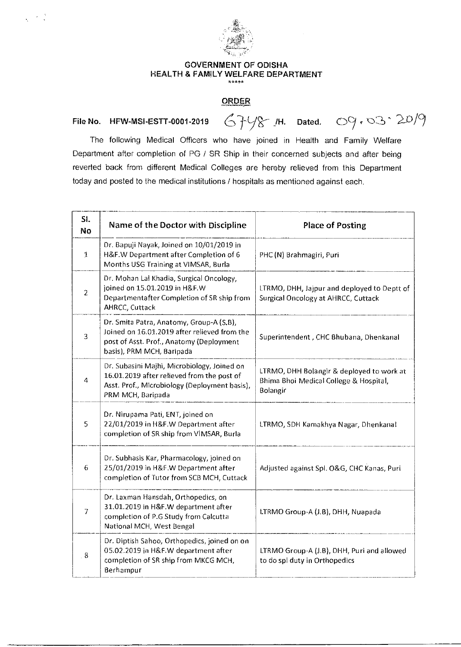

## GOVERNMENT OF ODISHA HEALTH & FAMILY WELFARE DEPARTMENT

## **ORDER**

## File No. HFW-MSI-ESTT-0001-2019  $67/8$  M. Dated. 09.03.20/9

 $\sim$ 

The following Medical Officers who have joined in Health and Family Welfare Department after completion of PG / SR Ship in their concerned subjects and after being reverted back from different Medical Colleges are hereby relieved from this Department today and posted to the medical institutions / hospitals as mentioned against each.

| SI.<br><b>No</b> | Name of the Doctor with Discipline                                                                                                                                | <b>Place of Posting</b>                                                                         |
|------------------|-------------------------------------------------------------------------------------------------------------------------------------------------------------------|-------------------------------------------------------------------------------------------------|
| 1                | Dr. Bapuji Nayak, Joined on 10/01/2019 in<br>H&F.W Department after Completion of 6<br>Months USG Training at VIMSAR, Burla                                       | PHC (N) Brahmagiri, Puri                                                                        |
| $\overline{c}$   | Dr. Mohan Lal Khadia, Surgical Oncology,<br>joined on 15.01.2019 in H&F.W<br>Departmentafter Completion of SR ship from<br>AHRCC, Cuttack                         | LTRMO, DHH, Jajpur and deployed to Deptt of<br>Surgical Oncology at AHRCC, Cuttack              |
| 3                | Dr. Smita Patra, Anatomy, Group-A (S.B),<br>Joined on 16.01.2019 after relieved from the<br>post of Asst. Prof., Anatomy (Deployment<br>basis), PRM MCH, Baripada | Superintendent, CHC Bhubana, Dhenkanal                                                          |
| 4                | Dr. Subasini Majhi, Microbiology, Joined on<br>16.01.2019 after relieved from the post of<br>Asst. Prof., Microbiology (Deployment basis),<br>PRM MCH, Baripada   | LTRMO, DHH Bolangir & deployed to work at<br>Bhima Bhoi Medical College & Hospital,<br>Bolangir |
| 5                | Dr. Nirupama Pati, ENT, joined on<br>22/01/2019 in H&F.W Department after<br>completion of SR ship from VIMSAR, Burla                                             | LTRMO, SDH Kamakhya Nagar, Dhenkanal                                                            |
| 6                | Dr. Subhasis Kar, Pharmacology, joined on<br>25/01/2019 in H&F.W Department after<br>completion of Tutor from SCB MCH, Cuttack                                    | Adjusted against Spl. O&G, CHC Kanas, Puri                                                      |
| $\overline{7}$   | Dr. Laxman Hansdah, Orthopedics, on<br>31.01.2019 in H&F.W department after<br>completion of P.G Study from Calcutta<br>National MCH, West Bengal                 | LTRMO Group-A (J.B), DHH, Nuapada                                                               |
| 8                | Dr. Diptish Sahoo, Orthopedics, joined on on<br>05.02.2019 in H&F.W department after<br>completion of SR ship from MKCG MCH,<br>Berhampur                         | LTRMO Group-A (J.B), DHH, Puri and allowed<br>to do spl duty in Orthopedics                     |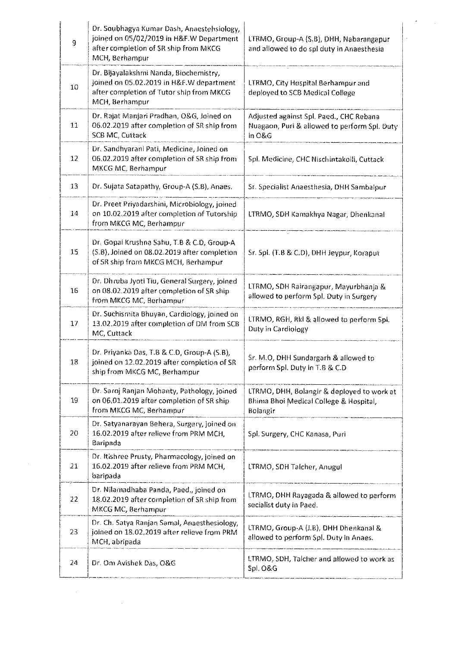| 9  | Dr. Soubhagya Kumar Dash, Anaestehsiology,<br>joined on 05/02/2019 in H&F.W Department<br>after completion of SR ship from MKCG<br>MCH, Berhampur | LTRMO, Group-A (S,B), DHH, Nabarangapur<br>and allowed to do spl duty in Anaesthesia              |
|----|---------------------------------------------------------------------------------------------------------------------------------------------------|---------------------------------------------------------------------------------------------------|
| 10 | Dr. Bijayalakshmi Nanda, Biochemistry,<br>joined on 05.02.2019 in H&F.W department<br>after completion of Tutor ship from MKCG<br>MCH Berhampur   | LTRMO, City Hospital Berhampur and<br>deployed to SCB Medical College                             |
| 11 | Dr. Rajat Manjari Pradhan, O&G, Joined on<br>06.02.2019 after completion of SR ship from<br>SCB MC, Cuttack                                       | Adjusted against Spl. Paed., CHC Rebana<br>Nuagaon, Puri & allowed to perform Spl. Duty<br>in O&G |
| 12 | Dr. Sandhyarani Pati, Medicine, Joined on<br>06.02.2019 after completion of SR ship from<br>MKCG MC, Berhampur                                    | Spl. Medicine, CHC Nischintakoili, Cuttack                                                        |
| 13 | Dr. Sujata Satapathy, Group-A (S.B), Anaes.                                                                                                       | Sr. Specialist Anaesthesia, DHH Sambalpur                                                         |
| 14 | Dr. Preet Priyadarshini, Microbiology, joined<br>on 10.02.2019 after completion of Tutorship<br>from MKCG MC, Berhampur                           | LTRMO, SDH Kamakhya Nagar, Dhenkanal                                                              |
| 15 | Dr. Gopal Krushna Sahu, T.B & C.D, Group-A<br>(S.B), Joined on 08.02.2019 after completion<br>of SR ship from MKCG MCH, Berhampur                 | Sr. Spl. (T.B & C.D), DHH Jeypur, Koraput                                                         |
| 16 | Dr. Dhruba Jyoti Tiu, General Surgery, joined<br>on 08.02.2019 after completion of SR ship<br>from MKCG MC, Berhampur                             | LTRMO, SDH Rairangapur, Mayurbhanja &<br>allowed to perform Spl. Duty in Surgery                  |
| 17 | Dr. Suchismita Bhuyan, Cardiology, joined on<br>13.02.2019 after completion of DM from SCB<br>MC, Cuttack                                         | LTRMO, RGH, Rkl & allowed to perform Spl.<br>Duty in Cardiology                                   |
| 18 | Dr. Priyanka Das, T.B & C.D, Group-A (S.B),<br>joined on 12.02.2019 after completion of SR<br>ship from MKCG MC, Berhampur                        | Sr. M.O, DHH Sundargarh & allowed to<br>perform Spl. Duty in T.B & C.D                            |
| 19 | Dr. Saroj Ranjan Mohanty, Pathology, joined<br>on 06,01.2019 after completion of SR ship<br>from MKCG MC, Berhampur                               | LTRMO, DHH, Bolangir & deployed to work at<br>Bhima Bhoi Medical College & Hospital,<br>Bolangir  |
| 20 | Dr. Satyanarayan Behera, Surgery, Joined on<br>16.02.2019 after relieve from PRM MCH,<br>Baripada                                                 | Spl. Surgery, CHC Kanasa, Puri                                                                    |
| 21 | Dr. Itishree Prusty, Pharmacology, joined on<br>16.02.2019 after relieve from PRM MCH,<br>baripada                                                | LTRMO, SDH Talcher, Anugul                                                                        |
| 22 | Dr. Nilamadhaba Panda, Paed., joined on<br>18.02.2019 after completion of SR ship from<br>MKCG MC, Berhampur                                      | LTRMO, DHH Rayagada & allowed to perform<br>secialist duty in Paed.                               |
| 23 | Dr. Ch. Satya Ranjan Samal, Anaesthesiology,<br>joined on 18.02,2019 after relieve from PRM<br>MCH, abripada                                      | LTRMO, Group-A (J.B), DHH Dhenkanal &<br>allowed to perform Spl. Duty in Anaes.                   |
| 24 | Dr. Om Avishek Das, O&G                                                                                                                           | LTRMO, SDH, Talcher and allowed to work as<br>Spl. O&G                                            |

 $\mathcal{L}^{\text{max}}_{\text{max}}$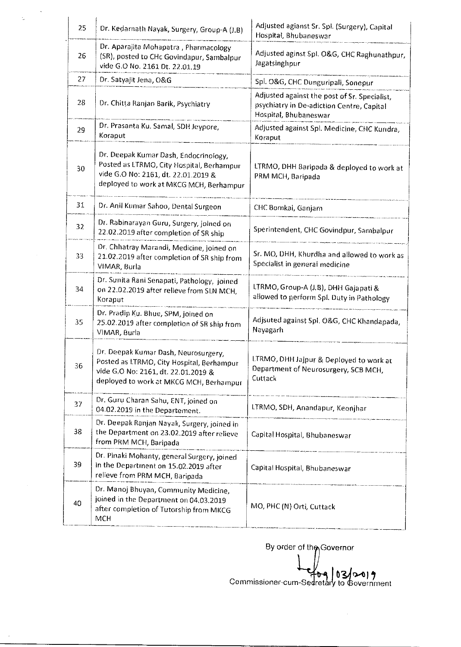| 25 | Dr. Kedarnath Nayak, Surgery, Group-A (J.B)                                                                                                                          | Adjusted agianst Sr. Spl. (Surgery), Capital<br>Hospital, Bhubaneswar                                              |
|----|----------------------------------------------------------------------------------------------------------------------------------------------------------------------|--------------------------------------------------------------------------------------------------------------------|
| 26 | Dr. Aparajita Mohapatra, Pharmacology<br>(SR), posted to CHc Govindapur, Sambalpur<br>vide G.O No. 2161 Dt. 22.01.19                                                 | Adjusted aginst Spl. O&G, CHC Raghunathpur,<br>Jagatsinghpur                                                       |
| 27 | Dr. Satyajit Jena, O&G                                                                                                                                               | Spl. O&G, CHC Dunguripali, Sonepur                                                                                 |
| 28 | Dr. Chitta Ranjan Barik, Psychiatry                                                                                                                                  | Adjusted against the post of Sr. Specialist,<br>psychiatry in De-adiction Centre, Capital<br>Hospital, Bhubaneswar |
| 29 | Dr. Prasanta Ku. Samal, SDH Jeypore,<br>Koraput                                                                                                                      | Adjusted against Spl. Medicine, CHC Kundra,<br>Koraput                                                             |
| 30 | Dr. Deepak Kumar Dash, Endocrinology,<br>Posted as LTRMO, City Hospital, Berhampur<br>vide G.O No: 2161, dt. 22.01.2019 &<br>deployed to work at MKCG MCH, Berhampur | LTRMO, DHH Baripada & deployed to work at<br>PRM MCH, Baripada                                                     |
| 31 | Dr. Anil Kumar Sahoo, Dental Surgeon                                                                                                                                 | CHC Bomkai, Ganjam                                                                                                 |
| 32 | Dr. Rabinarayan Guru, Surgery, joined on<br>22.02.2019 after completion of SR ship                                                                                   | Sperintendent, CHC Govindpur, Sambalpur                                                                            |
| 33 | Dr. Chhatray Marandi, Medicine, joined on<br>21.02.2019 after completion of SR ship from<br>VIMAR, Burla                                                             | Sr. MO, DHH, Khurdha and allowed to work as<br>Specialist in general medicine                                      |
| 34 | Dr. Sunita Rani Senapati, Pathology, joined<br>on 22.02.2019 after relieve from SLN MCH,<br>Koraput                                                                  | LTRMO, Group-A (J.B), DHH Gajapati &<br>allowed to perform Spl. Duty in Pathology                                  |
| 35 | Dr. Pradip Ku. Bhue, SPM, joined on<br>25.02.2019 after completion of SR ship from<br>VIMAR, Burla                                                                   | Adjsuted against Spl. O&G, CHC Khandapada,<br>Nayagarh                                                             |
| 36 | Dr. Deepak Kumar Dash, Neurosurgery,<br>Posted as LTRMO, City Hospital, Berhampur<br>vide G.O No: 2161, dt. 22.01.2019 &<br>deployed to work at MKCG MCH, Berhampur  | LTRMO, DHH Jajpur & Deployed to work at<br>Department of Neurosurgery, SCB MCH,<br>Cuttack                         |
| 37 | Dr. Guru Charan Sahu, ENT, joined on<br>04.02.2019 in the Departement.                                                                                               | LTRMO, SDH, Anandapur, Keonjhar                                                                                    |
| 38 | Dr. Deepak Ranjan Nayak, Surgery, joined in<br>the Department on 23.02.2019 after relieve<br>from PRM MCH, Baripada                                                  | Capital Hospital, Bhubaneswar                                                                                      |
| 39 | Dr. Pinaki Mohanty, general Surgery, joined<br>in the Department on 15.02.2019 after<br>relieve from PRM MCH, Baripada                                               | Capital Hospital, Bhubaneswar                                                                                      |
| 40 | Dr. Manoj Bhuyan, Community Medicine,<br>joined in the Department on 04.03.2019<br>after completion of Tutorship from MKCG<br><b>MCH</b>                             | MO, PHC (N) Orti, Cuttack                                                                                          |

 $\hat{\boldsymbol{\beta}}$ 

 $\frac{1}{2}$ 

 $\mathcal{L}_{\mathcal{A}}$ 

By order of the Governor  $\sqrt{\frac{1}{1-\lambda}}$ ry i a <sup>o</sup>1 *<sup>1</sup>* Commissioner-cum-Sedretary to Government